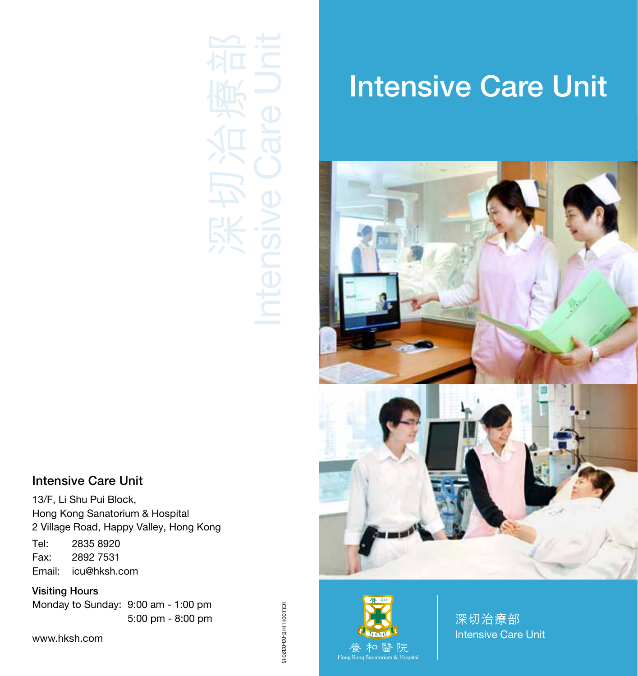

# Intensive Care Unit





深切治療部 Intensive Care Unit

#### Intensive Care Unit

13/F, Li Shu Pui Block, Hong Kong Sanatorium & Hospital 2 Village Road, Happy Valley, Hong Kong

Tel: 2835 8920 Fax: 2892 7531 Email: icu@hksh.com

Visiting Hours Monday to Sunday: 9:00 am - 1:00 pm 5:00 pm - 8:00 pm

www.hksh.com